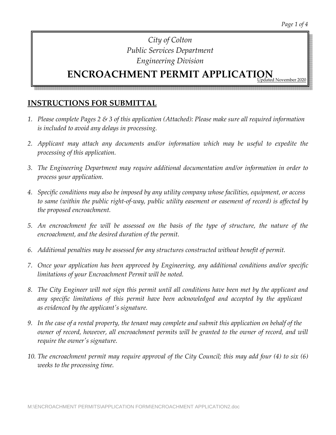#### **ENCROACHMENT PERMIT APPLICATION** Pd November 202

#### **INSTRUCTIONS FOR SUBMITTAL**

- *1. Please complete Pages 2 & 3 of this application (Attached): Please make sure all required information is included to avoid any delays in processing.*
- *2. Applicant may attach any documents and/or information which may be useful to expedite the processing of this application.*
- *3. The Engineering Department may require additional documentation and/or information in order to process your application.*
- *4. Specific conditions may also be imposed by any utility company whose facilities, equipment, or access* to same (within the public right-of-way, public utility easement or easement of record) is affected by *the proposed encroachment.*
- 5. An encroachment fee will be assessed on the basis of the type of structure, the nature of the *encroachment, and the desired duration of the permit.*
- *6. Additional penalties may be assessed for any structures constructed without benefit of permit.*
- *7. Once your application has been approved by Engineering, any additional conditions and/or specific limitations of your Encroachment Permit will be noted.*
- 8. The City Engineer will not sign this permit until all conditions have been met by the applicant and *any specific limitations of this permit have been acknowledged and accepted by the applicant as evidenced by the applicantʹs signature.*
- 9. In the case of a rental property, the tenant may complete and submit this application on behalf of the *owner of record, however, all encroachment permits will be granted to the owner of record, and will require the ownerʹs signature.*
- 10. The encroachment permit may require approval of the City Council; this may add four (4) to six (6) *weeks to the processing time.*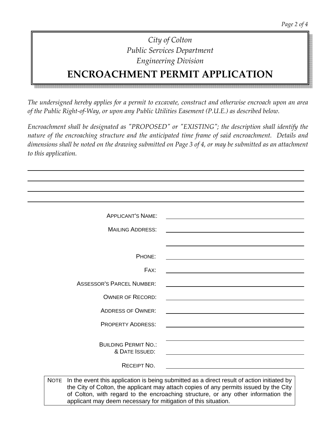# **ENCROACHMENT PERMIT APPLICATION**

*The undersigned hereby applies for a permit to excavate, construct and otherwise encroach upon an area of the Public Right‐of‐Way, or upon any Public Utilities Easement (P.U.E.) as described below.*

*Encroachment shall be designated as ʺPROPOSEDʺ or ʺEXISTINGʺ; the description shall identify the nature of the encroaching structure and the anticipated time frame of said encroachment. Details and* dimensions shall be noted on the drawing submitted on Page 3 of 4, or may be submitted as an attachment *to this application.* 

| <b>APPLICANT'S NAME:</b>                      |                                                                                                                                                                                                                               |
|-----------------------------------------------|-------------------------------------------------------------------------------------------------------------------------------------------------------------------------------------------------------------------------------|
| <b>MAILING ADDRESS:</b>                       |                                                                                                                                                                                                                               |
|                                               | the control of the control of the control of the control of the control of the control of the control of the control of the control of the control of the control of the control of the control of the control of the control |
| PHONE:                                        |                                                                                                                                                                                                                               |
| FAX:                                          |                                                                                                                                                                                                                               |
| <b>ASSESSOR'S PARCEL NUMBER:</b>              |                                                                                                                                                                                                                               |
| <b>OWNER OF RECORD:</b>                       | the control of the control of the control of the control of the control of the control of the control of the control of the control of the control of the control of the control of the control of the control of the control |
| <b>ADDRESS OF OWNER:</b>                      |                                                                                                                                                                                                                               |
| <b>PROPERTY ADDRESS:</b>                      |                                                                                                                                                                                                                               |
| <b>BUILDING PERMIT NO.:</b><br>& DATE ISSUED: |                                                                                                                                                                                                                               |
| <b>RECEIPT NO.</b>                            |                                                                                                                                                                                                                               |

applicant may deem necessary for mitigation of this situation.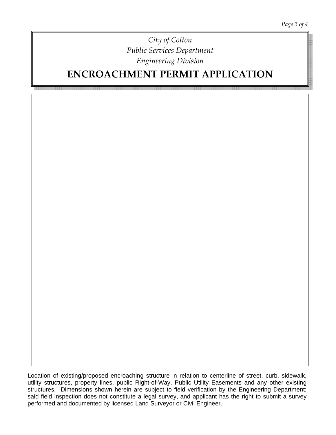**ENCROACHMENT PERMIT APPLICATION**

Location of existing/proposed encroaching structure in relation to centerline of street, curb, sidewalk, utility structures, property lines, public Right-of-Way, Public Utility Easements and any other existing structures. Dimensions shown herein are subject to field verification by the Engineering Department; said field inspection does not constitute a legal survey, and applicant has the right to submit a survey performed and documented by licensed Land Surveyor or Civil Engineer.